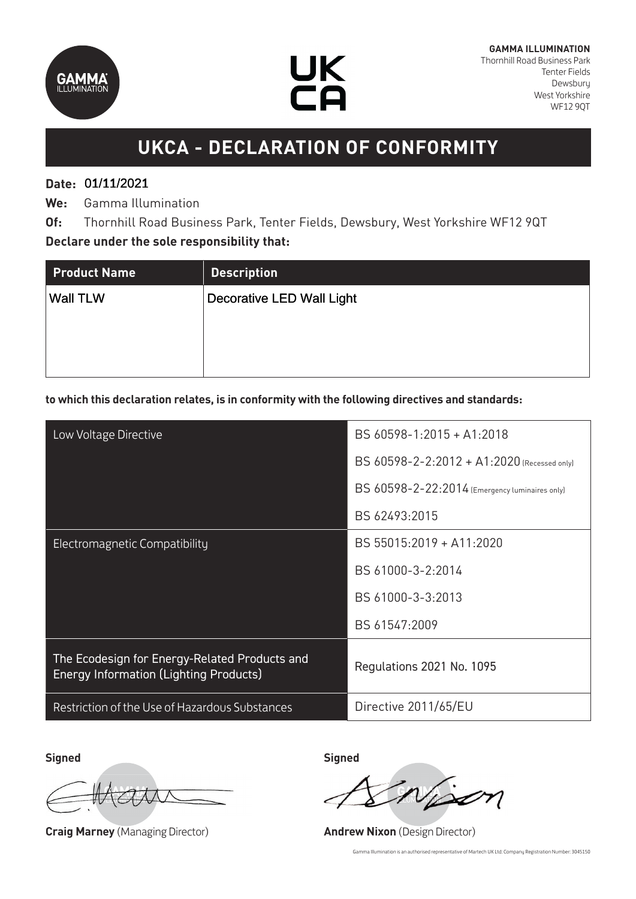



# **UKCA - DECLARATION OF CONFORMITY**

### **Date:**  01/11/2021 01/11/2021

**We:** Gamma Illumination

**Of:** Thornhill Road Business Park, Tenter Fields, Dewsbury, West Yorkshire WF12 9QT **Declare under the sole responsibility that:**

| <b>Product Name</b> | <b>Description</b>               |
|---------------------|----------------------------------|
| <b>Wall TLW</b>     | <b>Decorative LED Wall Light</b> |
|                     |                                  |
|                     |                                  |
|                     |                                  |

#### **to which this declaration relates, is in conformity with the following directives and standards:**

| Low Voltage Directive                                                                          | BS 60598-1:2015 + A1:2018                      |
|------------------------------------------------------------------------------------------------|------------------------------------------------|
|                                                                                                | BS 60598-2-2:2012 + A1:2020 (Recessed only)    |
|                                                                                                | BS 60598-2-22:2014 (Emergency luminaires only) |
|                                                                                                | BS 62493:2015                                  |
| Electromagnetic Compatibility                                                                  | BS 55015:2019 + A11:2020                       |
|                                                                                                | BS 61000-3-2:2014                              |
|                                                                                                | BS 61000-3-3:2013                              |
|                                                                                                | BS 61547:2009                                  |
| The Ecodesign for Energy-Related Products and<br><b>Energy Information (Lighting Products)</b> | Regulations 2021 No. 1095                      |
| Restriction of the Use of Hazardous Substances                                                 | Directive 2011/65/EU                           |

**Signed Signed**

**Craig Marney** (Managing Director) **Andrew Nixon** (Design Director)

Gamma Illumination is an authorised representative of Martech UK Ltd: Company Registration Number: 3045150